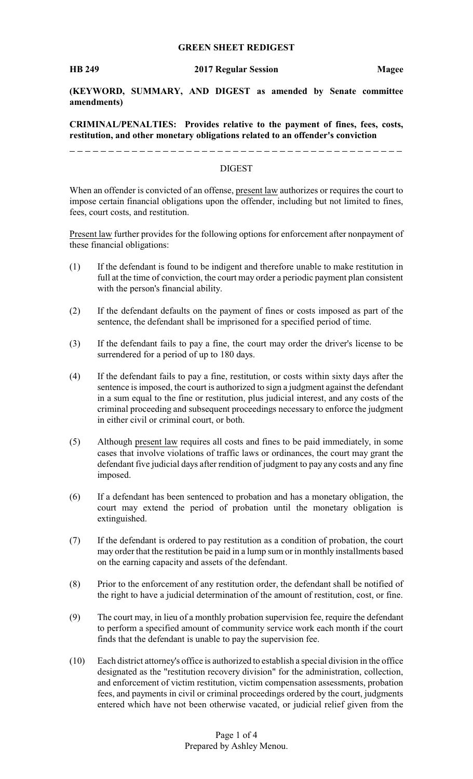#### **GREEN SHEET REDIGEST**

**(KEYWORD, SUMMARY, AND DIGEST as amended by Senate committee amendments)**

**CRIMINAL/PENALTIES: Provides relative to the payment of fines, fees, costs, restitution, and other monetary obligations related to an offender's conviction**

#### DIGEST

When an offender is convicted of an offense, present law authorizes or requires the court to impose certain financial obligations upon the offender, including but not limited to fines, fees, court costs, and restitution.

Present law further provides for the following options for enforcement after nonpayment of these financial obligations:

- (1) If the defendant is found to be indigent and therefore unable to make restitution in full at the time of conviction, the court may order a periodic payment plan consistent with the person's financial ability.
- (2) If the defendant defaults on the payment of fines or costs imposed as part of the sentence, the defendant shall be imprisoned for a specified period of time.
- (3) If the defendant fails to pay a fine, the court may order the driver's license to be surrendered for a period of up to 180 days.
- (4) If the defendant fails to pay a fine, restitution, or costs within sixty days after the sentence is imposed, the court is authorized to sign a judgment against the defendant in a sum equal to the fine or restitution, plus judicial interest, and any costs of the criminal proceeding and subsequent proceedings necessary to enforce the judgment in either civil or criminal court, or both.
- (5) Although present law requires all costs and fines to be paid immediately, in some cases that involve violations of traffic laws or ordinances, the court may grant the defendant five judicial days after rendition of judgment to pay any costs and any fine imposed.
- (6) If a defendant has been sentenced to probation and has a monetary obligation, the court may extend the period of probation until the monetary obligation is extinguished.
- (7) If the defendant is ordered to pay restitution as a condition of probation, the court may order that the restitution be paid in a lump sum or in monthly installments based on the earning capacity and assets of the defendant.
- (8) Prior to the enforcement of any restitution order, the defendant shall be notified of the right to have a judicial determination of the amount of restitution, cost, or fine.
- (9) The court may, in lieu of a monthly probation supervision fee, require the defendant to perform a specified amount of community service work each month if the court finds that the defendant is unable to pay the supervision fee.
- (10) Each district attorney's office is authorized to establish a special division in the office designated as the "restitution recovery division" for the administration, collection, and enforcement of victim restitution, victim compensation assessments, probation fees, and payments in civil or criminal proceedings ordered by the court, judgments entered which have not been otherwise vacated, or judicial relief given from the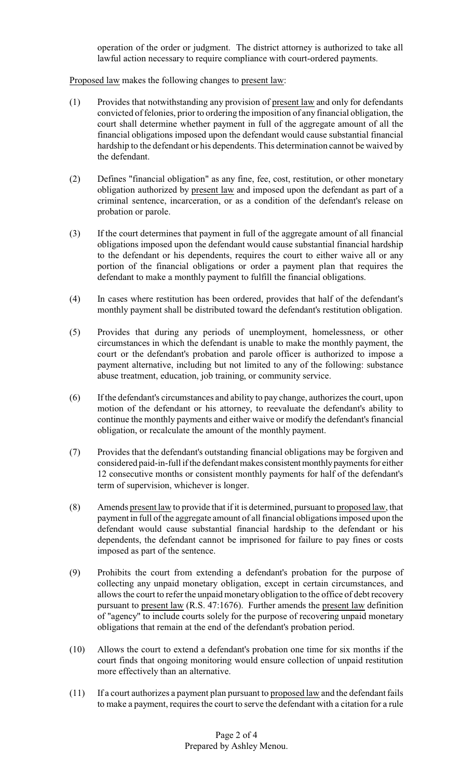operation of the order or judgment. The district attorney is authorized to take all lawful action necessary to require compliance with court-ordered payments.

Proposed law makes the following changes to present law:

- (1) Provides that notwithstanding any provision of present law and only for defendants convicted of felonies, prior to ordering the imposition of any financial obligation, the court shall determine whether payment in full of the aggregate amount of all the financial obligations imposed upon the defendant would cause substantial financial hardship to the defendant or his dependents. This determination cannot be waived by the defendant.
- (2) Defines "financial obligation" as any fine, fee, cost, restitution, or other monetary obligation authorized by present law and imposed upon the defendant as part of a criminal sentence, incarceration, or as a condition of the defendant's release on probation or parole.
- (3) If the court determines that payment in full of the aggregate amount of all financial obligations imposed upon the defendant would cause substantial financial hardship to the defendant or his dependents, requires the court to either waive all or any portion of the financial obligations or order a payment plan that requires the defendant to make a monthly payment to fulfill the financial obligations.
- (4) In cases where restitution has been ordered, provides that half of the defendant's monthly payment shall be distributed toward the defendant's restitution obligation.
- (5) Provides that during any periods of unemployment, homelessness, or other circumstances in which the defendant is unable to make the monthly payment, the court or the defendant's probation and parole officer is authorized to impose a payment alternative, including but not limited to any of the following: substance abuse treatment, education, job training, or community service.
- (6) If the defendant's circumstances and ability to pay change, authorizes the court, upon motion of the defendant or his attorney, to reevaluate the defendant's ability to continue the monthly payments and either waive or modify the defendant's financial obligation, or recalculate the amount of the monthly payment.
- (7) Provides that the defendant's outstanding financial obligations may be forgiven and considered paid-in-full if the defendant makes consistent monthly payments for either 12 consecutive months or consistent monthly payments for half of the defendant's term of supervision, whichever is longer.
- (8) Amends present law to provide that if it is determined, pursuant to proposed law, that payment in full of the aggregate amount of all financial obligations imposed upon the defendant would cause substantial financial hardship to the defendant or his dependents, the defendant cannot be imprisoned for failure to pay fines or costs imposed as part of the sentence.
- (9) Prohibits the court from extending a defendant's probation for the purpose of collecting any unpaid monetary obligation, except in certain circumstances, and allows the court to refer the unpaid monetary obligation to the office of debt recovery pursuant to present law (R.S. 47:1676). Further amends the present law definition of "agency" to include courts solely for the purpose of recovering unpaid monetary obligations that remain at the end of the defendant's probation period.
- (10) Allows the court to extend a defendant's probation one time for six months if the court finds that ongoing monitoring would ensure collection of unpaid restitution more effectively than an alternative.
- (11) If a court authorizes a payment plan pursuant to proposed law and the defendant fails to make a payment, requires the court to serve the defendant with a citation for a rule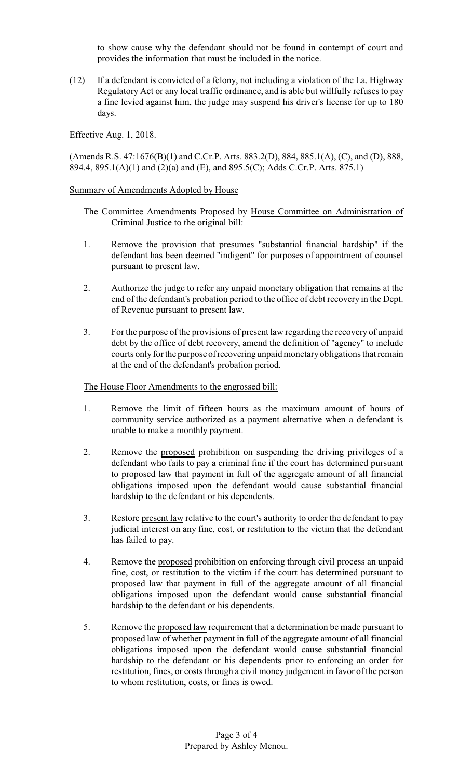to show cause why the defendant should not be found in contempt of court and provides the information that must be included in the notice.

(12) If a defendant is convicted of a felony, not including a violation of the La. Highway Regulatory Act or any local traffic ordinance, and is able but willfully refuses to pay a fine levied against him, the judge may suspend his driver's license for up to 180 days.

Effective Aug. 1, 2018.

(Amends R.S. 47:1676(B)(1) and C.Cr.P. Arts. 883.2(D), 884, 885.1(A), (C), and (D), 888, 894.4, 895.1(A)(1) and (2)(a) and (E), and 895.5(C); Adds C.Cr.P. Arts. 875.1)

## Summary of Amendments Adopted by House

- The Committee Amendments Proposed by House Committee on Administration of Criminal Justice to the original bill:
- 1. Remove the provision that presumes "substantial financial hardship" if the defendant has been deemed "indigent" for purposes of appointment of counsel pursuant to present law.
- 2. Authorize the judge to refer any unpaid monetary obligation that remains at the end of the defendant's probation period to the office of debt recovery in the Dept. of Revenue pursuant to present law.
- 3. For the purpose of the provisions of present law regarding the recovery of unpaid debt by the office of debt recovery, amend the definition of "agency" to include courts only for the purpose of recovering unpaid monetary obligations that remain at the end of the defendant's probation period.

### The House Floor Amendments to the engrossed bill:

- 1. Remove the limit of fifteen hours as the maximum amount of hours of community service authorized as a payment alternative when a defendant is unable to make a monthly payment.
- 2. Remove the proposed prohibition on suspending the driving privileges of a defendant who fails to pay a criminal fine if the court has determined pursuant to proposed law that payment in full of the aggregate amount of all financial obligations imposed upon the defendant would cause substantial financial hardship to the defendant or his dependents.
- 3. Restore present law relative to the court's authority to order the defendant to pay judicial interest on any fine, cost, or restitution to the victim that the defendant has failed to pay.
- 4. Remove the proposed prohibition on enforcing through civil process an unpaid fine, cost, or restitution to the victim if the court has determined pursuant to proposed law that payment in full of the aggregate amount of all financial obligations imposed upon the defendant would cause substantial financial hardship to the defendant or his dependents.
- 5. Remove the proposed law requirement that a determination be made pursuant to proposed law of whether payment in full of the aggregate amount of all financial obligations imposed upon the defendant would cause substantial financial hardship to the defendant or his dependents prior to enforcing an order for restitution, fines, or costs through a civil money judgement in favor of the person to whom restitution, costs, or fines is owed.